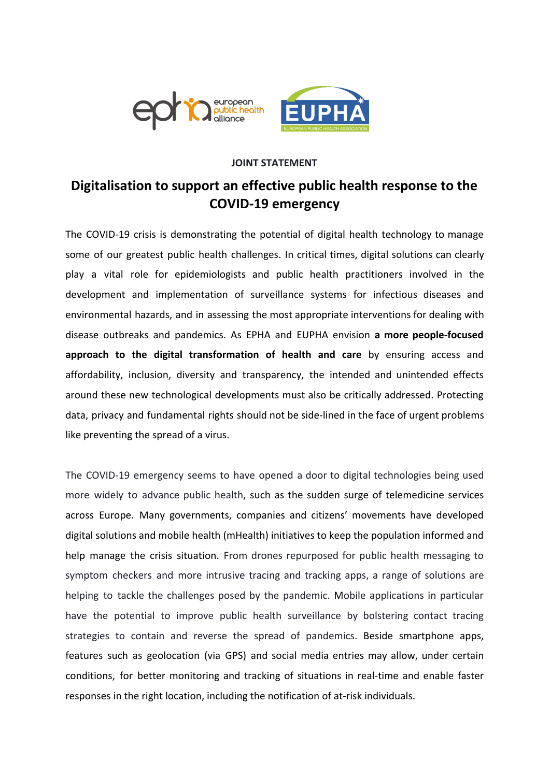

# **JOINT STATEMENT**

# **Digitalisation to support an effective public health response to the COVID-19 emergency**

The COVID-19 crisis is demonstrating the potential of digital health technology to manage some of our greatest public health challenges. In critical times, digital solutions can clearly play a vital role for epidemiologists and public health practitioners involved in the development and implementation of surveillance systems for infectious diseases and environmental hazards, and in assessing the most appropriate interventions for dealing with disease outbreaks and pandemics. As EPHA and EUPHA envision **a more people-focused approach to the digital transformation of health and care** by ensuring access and affordability, inclusion, diversity and transparency, the intended and unintended effects around these new technological developments must also be critically addressed. Protecting data, privacy and fundamental rights should not be side-lined in the face of urgent problems like preventing the spread of a virus.

The COVID-19 emergency seems to have opened a door to digital technologies being used more widely to advance public health, such as the sudden surge of telemedicine services across Europe. Many governments, companies and citizens' movements have developed digital solutions and mobile health (mHealth) initiatives to keep the population informed and help manage the crisis situation. From drones repurposed for public health messaging to symptom checkers and more intrusive tracing and tracking apps, a range of solutions are helping to tackle the challenges posed by the pandemic. Mobile applications in particular have the potential to improve public health surveillance by bolstering contact tracing strategies to contain and reverse the spread of pandemics. Beside smartphone apps, features such as geolocation (via GPS) and social media entries may allow, under certain conditions, for better monitoring and tracking of situations in real-time and enable faster responses in the right location, including the notification of at-risk individuals.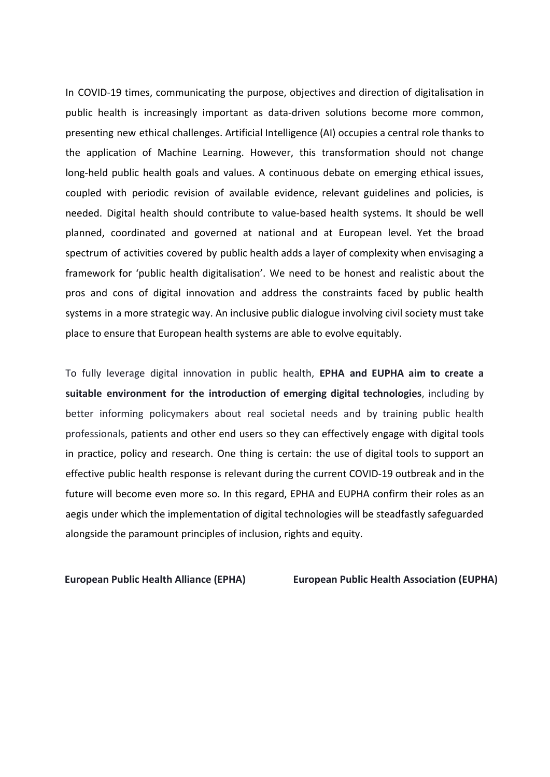In COVID-19 times, communicating the purpose, objectives and direction of digitalisation in public health is increasingly important as data-driven solutions become more common, presenting new ethical challenges. Artificial Intelligence (AI) occupies a central role thanks to the application of Machine Learning. However, this transformation should not change long-held public health goals and values. A continuous debate on emerging ethical issues, coupled with periodic revision of available evidence, relevant guidelines and policies, is needed. Digital health should contribute to value-based health systems. It should be well planned, coordinated and governed at national and at European level. Yet the broad spectrum of activities covered by public health adds a layer of complexity when envisaging a framework for 'public health digitalisation'. We need to be honest and realistic about the pros and cons of digital innovation and address the constraints faced by public health systems in a more strategic way. An inclusive public dialogue involving civil society must take place to ensure that European health systems are able to evolve equitably.

To fully leverage digital innovation in public health, **EPHA and EUPHA aim to create a suitable environment for the introduction of emerging digital technologies**, including by better informing policymakers about real societal needs and by training public health professionals, patients and other end users so they can effectively engage with digital tools in practice, policy and research. One thing is certain: the use of digital tools to support an effective public health response is relevant during the current COVID-19 outbreak and in the future will become even more so. In this regard, EPHA and EUPHA confirm their roles as an aegis under which the implementation of digital technologies will be steadfastly safeguarded alongside the paramount principles of inclusion, rights and equity.

**European Public Health Alliance (EPHA) European Public Health Association (EUPHA)**